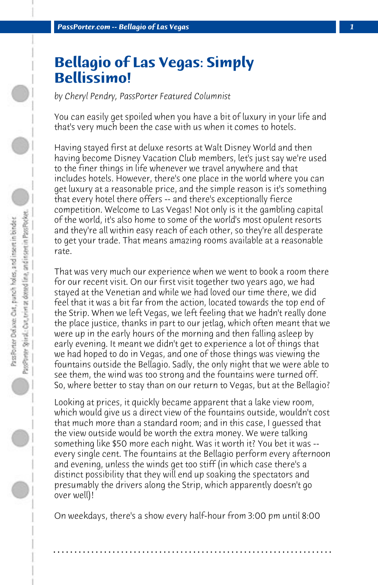## **Bellagio of Las Vegas: Simply Bellissimo!**

*by Cheryl Pendry, PassPorter Featured Columnist*

You can easily get spoiled when you have a bit of luxury in your life and that's very much been the case with us when it comes to hotels.

Having stayed first at deluxe resorts at Walt Disney World and then having become Disney Vacation Club members, let's just say we're used to the finer things in life whenever we travel anywhere and that includes hotels. However, there's one place in the world where you can get luxury at a reasonable price, and the simple reason is it's something that every hotel there offers -- and there's exceptionally fierce competition. Welcome to Las Vegas! Not only is it the gambling capital of the world, it's also home to some of the world's most opulent resorts and they're all within easy reach of each other, so they're all desperate to get your trade. That means amazing rooms available at a reasonable rate.

That was very much our experience when we went to book a room there for our recent visit. On our first visit together two years ago, we had stayed at the Venetian and while we had loved our time there, we did feel that it was a bit far from the action, located towards the top end of the Strip. When we left Vegas, we left feeling that we hadn't really done the place justice, thanks in part to our jetlag, which often meant that we were up in the early hours of the morning and then falling asleep by early evening. It meant we didn't get to experience a lot of things that we had hoped to do in Vegas, and one of those things was viewing the fountains outside the Bellagio. Sadly, the only night that we were able to see them, the wind was too strong and the fountains were turned off. So, where better to stay than on our return to Vegas, but at the Bellagio?

Looking at prices, it quickly became apparent that a lake view room, which would give us a direct view of the fountains outside, wouldn't cost that much more than a standard room; and in this case, I guessed that the view outside would be worth the extra money. We were talking something like \$50 more each night. Was it worth it? You bet it was - every single cent. The fountains at the Bellagio perform every afternoon and evening, unless the winds get too stiff (in which case there's a distinct possibility that they will end up soaking the spectators and presumably the drivers along the Strip, which apparently doesn't go over well)!

On weekdays, there's a show every half-hour from 3:00 pm until 8:00

**. . . . . . . . . . . . . . . . . . . . . . . . . . . . . . . . . . . . . . . . . . . . . . . . . . . . . . . . . . . . . . . . . .**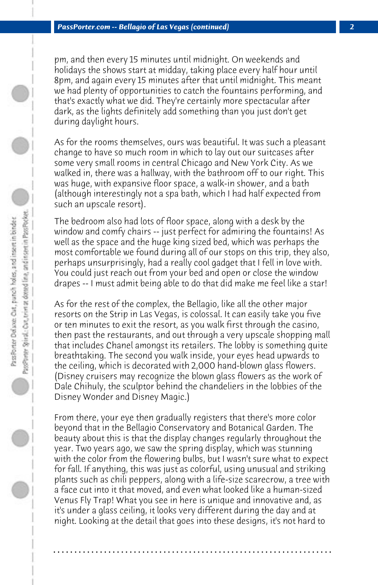pm, and then every 15 minutes until midnight. On weekends and holidays the shows start at midday, taking place every half hour until 8pm, and again every 15 minutes after that until midnight. This meant we had plenty of opportunities to catch the fountains performing, and that's exactly what we did. They're certainly more spectacular after dark, as the lights definitely add something than you just don't get during daylight hours.

As for the rooms themselves, ours was beautiful. It was such a pleasant change to have so much room in which to lay out our suitcases after some very small rooms in central Chicago and New York City. As we walked in, there was a hallway, with the bathroom off to our right. This was huge, with expansive floor space, a walk-in shower, and a bath (although interestingly not a spa bath, which I had half expected from such an upscale resort).

The bedroom also had lots of floor space, along with a desk by the window and comfy chairs -- just perfect for admiring the fountains! As well as the space and the huge king sized bed, which was perhaps the most comfortable we found during all of our stops on this trip, they also, perhaps unsurprisingly, had a really cool gadget that I fell in love with. You could just reach out from your bed and open or close the window drapes -- I must admit being able to do that did make me feel like a star!

As for the rest of the complex, the Bellagio, like all the other major resorts on the Strip in Las Vegas, is colossal. It can easily take you five or ten minutes to exit the resort, as you walk first through the casino, then past the restaurants, and out through a very upscale shopping mall that includes Chanel amongst its retailers. The lobby is something quite breathtaking. The second you walk inside, your eyes head upwards to the ceiling, which is decorated with 2,000 hand-blown glass flowers. (Disney cruisers may recognize the blown glass flowers as the work of Dale Chihuly, the sculptor behind the chandeliers in the lobbies of the Disney Wonder and Disney Magic.)

From there, your eye then gradually registers that there's more color beyond that in the Bellagio Conservatory and Botanical Garden. The beauty about this is that the display changes regularly throughout the year. Two years ago, we saw the spring display, which was stunning with the color from the flowering bulbs, but I wasn't sure what to expect for fall. If anything, this was just as colorful, using unusual and striking plants such as chili peppers, along with a life-size scarecrow, a tree with a face cut into it that moved, and even what looked like a human-sized Venus Fly Trap! What you see in here is unique and innovative and, as it's under a glass ceiling, it looks very different during the day and at night. Looking at the detail that goes into these designs, it's not hard to

**. . . . . . . . . . . . . . . . . . . . . . . . . . . . . . . . . . . . . . . . . . . . . . . . . . . . . . . . . . . . . . . . . .**